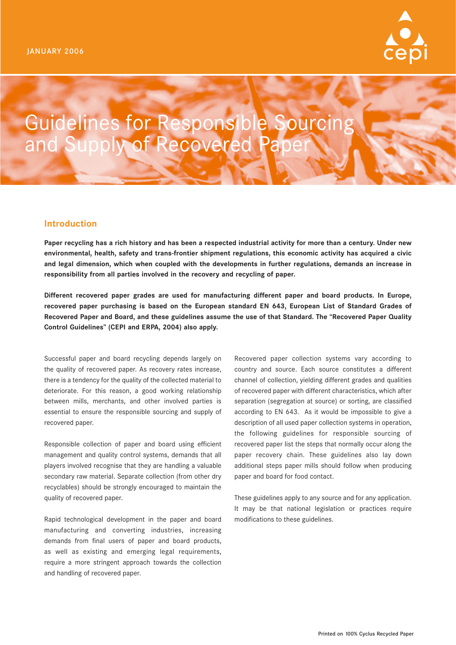

# Guidelines for Responsible Sourcing and Supply of Recovered Paper

## **Introduction**

**Paper recycling has a rich history and has been a respected industrial activity for more than a century. Under new environmental, health, safety and trans-frontier shipment regulations, this economic activity has acquired a civic and legal dimension, which when coupled with the developments in further regulations, demands an increase in responsibility from all parties involved in the recovery and recycling of paper.**

**Different recovered paper grades are used for manufacturing different paper and board products. In Europe, recovered paper purchasing is based on the European standard EN 643, European List of Standard Grades of Recovered Paper and Board, and these guidelines assume the use of that Standard. The "Recovered Paper Quality Control Guidelines" (CEPI and ERPA, 2004) also apply.**

Successful paper and board recycling depends largely on the quality of recovered paper. As recovery rates increase, there is a tendency for the quality of the collected material to deteriorate. For this reason, a good working relationship between mills, merchants, and other involved parties is essential to ensure the responsible sourcing and supply of recovered paper.

Responsible collection of paper and board using efficient management and quality control systems, demands that all players involved recognise that they are handling a valuable secondary raw material. Separate collection (from other dry recyclables) should be strongly encouraged to maintain the quality of recovered paper.

Rapid technological development in the paper and board manufacturing and converting industries, increasing demands from final users of paper and board products, as well as existing and emerging legal requirements, require a more stringent approach towards the collection and handling of recovered paper.

Recovered paper collection systems vary according to country and source. Each source constitutes a different channel of collection, yielding different grades and qualities of recovered paper with different characteristics, which after separation (segregation at source) or sorting, are classified according to EN 643. As it would be impossible to give a description of all used paper collection systems in operation, the following guidelines for responsible sourcing of recovered paper list the steps that normally occur along the paper recovery chain. These guidelines also lay down additional steps paper mills should follow when producing paper and board for food contact.

These guidelines apply to any source and for any application. It may be that national legislation or practices require modifications to these guidelines.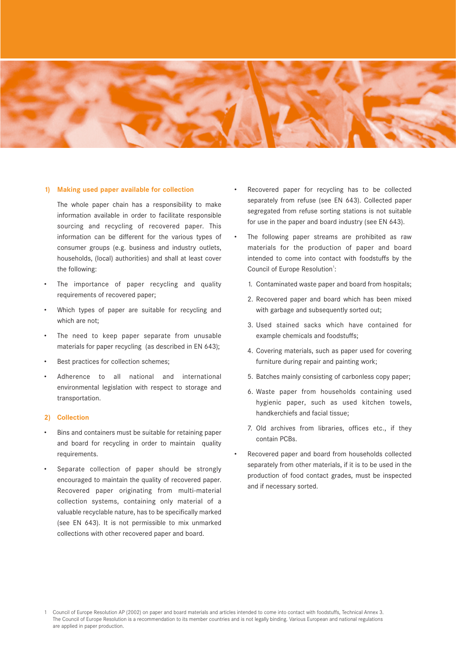

## **1) Making used paper available for collection**

The whole paper chain has a responsibility to make information available in order to facilitate responsible sourcing and recycling of recovered paper. This information can be different for the various types of consumer groups (e.g. business and industry outlets, households, (local) authorities) and shall at least cover the following:

- The importance of paper recycling and quality requirements of recovered paper;
- Which types of paper are suitable for recycling and which are not;
- The need to keep paper separate from unusable materials for paper recycling (as described in EN 643);
- Best practices for collection schemes;
- Adherence to all national and international environmental legislation with respect to storage and transportation.

## **2) Collection**

- Bins and containers must be suitable for retaining paper and board for recycling in order to maintain quality requirements.
- Separate collection of paper should be strongly encouraged to maintain the quality of recovered paper. Recovered paper originating from multi-material collection systems, containing only material of a valuable recyclable nature, has to be specifically marked (see EN 643). It is not permissible to mix unmarked collections with other recovered paper and board.
- Recovered paper for recycling has to be collected separately from refuse (see EN 643). Collected paper segregated from refuse sorting stations is not suitable for use in the paper and board industry (see EN 643).
- The following paper streams are prohibited as raw materials for the production of paper and board intended to come into contact with foodstuffs by the Council of Europe Resolution<sup>1</sup>:
	- 1. Contaminated waste paper and board from hospitals;
	- 2. Recovered paper and board which has been mixed with garbage and subsequently sorted out;
	- 3. Used stained sacks which have contained for example chemicals and foodstuffs;
	- 4. Covering materials, such as paper used for covering furniture during repair and painting work;
	- 5. Batches mainly consisting of carbonless copy paper;
	- 6. Waste paper from households containing used hygienic paper, such as used kitchen towels, handkerchiefs and facial tissue;
	- 7. Old archives from libraries, offices etc., if they contain PCBs.
- Recovered paper and board from households collected separately from other materials, if it is to be used in the production of food contact grades, must be inspected and if necessary sorted.

<sup>1</sup> Council of Europe Resolution AP (2002) on paper and board materials and articles intended to come into contact with foodstuffs, Technical Annex 3. The Council of Europe Resolution is a recommendation to its member countries and is not legally binding. Various European and national regulations are applied in paper production.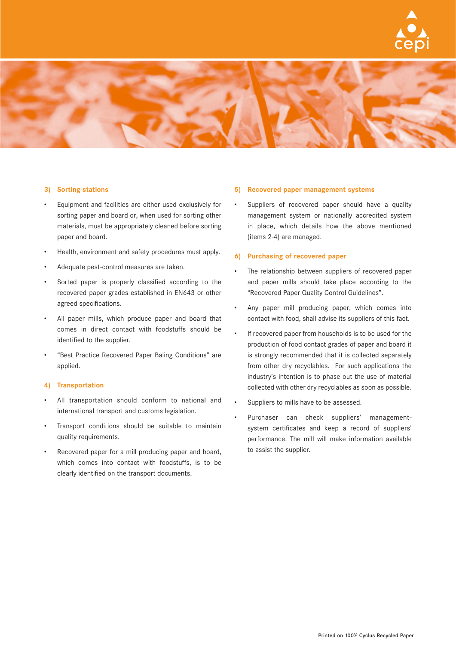



## **3) Sorting-stations**

- Equipment and facilities are either used exclusively for sorting paper and board or, when used for sorting other materials, must be appropriately cleaned before sorting paper and board.
- Health, environment and safety procedures must apply.
- Adequate pest-control measures are taken.
- Sorted paper is properly classified according to the recovered paper grades established in EN643 or other agreed specifications.
- All paper mills, which produce paper and board that comes in direct contact with foodstuffs should be identified to the supplier.
- "Best Practice Recovered Paper Baling Conditions" are applied.

## **4) Transportation**

- All transportation should conform to national and international transport and customs legislation.
- Transport conditions should be suitable to maintain quality requirements.
- Recovered paper for a mill producing paper and board, which comes into contact with foodstuffs, is to be clearly identified on the transport documents.

#### **5) Recovered paper management systems**

Suppliers of recovered paper should have a quality management system or nationally accredited system in place, which details how the above mentioned (items 2-4) are managed.

## **6) Purchasing of recovered paper**

- The relationship between suppliers of recovered paper and paper mills should take place according to the "Recovered Paper Quality Control Guidelines".
- Any paper mill producing paper, which comes into contact with food, shall advise its suppliers of this fact.
- If recovered paper from households is to be used for the production of food contact grades of paper and board it is strongly recommended that it is collected separately from other dry recyclables. For such applications the industry's intention is to phase out the use of material collected with other dry recyclables as soon as possible.
- Suppliers to mills have to be assessed.
- Purchaser can check suppliers' managementsystem certificates and keep a record of suppliers' performance. The mill will make information available to assist the supplier.